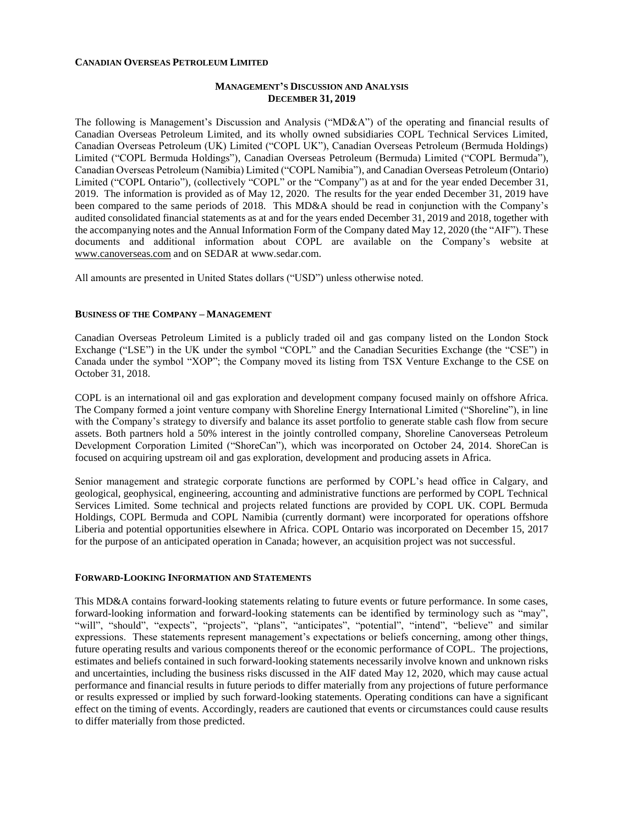#### **CANADIAN OVERSEAS PETROLEUM LIMITED**

### **MANAGEMENT'S DISCUSSION AND ANALYSIS DECEMBER 31, 2019**

The following is Management's Discussion and Analysis ("MD&A") of the operating and financial results of Canadian Overseas Petroleum Limited, and its wholly owned subsidiaries COPL Technical Services Limited, Canadian Overseas Petroleum (UK) Limited ("COPL UK"), Canadian Overseas Petroleum (Bermuda Holdings) Limited ("COPL Bermuda Holdings"), Canadian Overseas Petroleum (Bermuda) Limited ("COPL Bermuda"), Canadian Overseas Petroleum (Namibia) Limited ("COPL Namibia"), and Canadian Overseas Petroleum (Ontario) Limited ("COPL Ontario"), (collectively "COPL" or the "Company") as at and for the year ended December 31, 2019. The information is provided as of May 12, 2020. The results for the year ended December 31, 2019 have been compared to the same periods of 2018. This MD&A should be read in conjunction with the Company's audited consolidated financial statements as at and for the years ended December 31, 2019 and 2018, together with the accompanying notes and the Annual Information Form of the Company dated May 12, 2020 (the "AIF"). These documents and additional information about COPL are available on the Company's website at [www.canoverseas.com](http://www.canoverseas.com/) and on SEDAR at [www.sedar.com.](http://www.sedar.com/)

All amounts are presented in United States dollars ("USD") unless otherwise noted.

#### **BUSINESS OF THE COMPANY – MANAGEMENT**

Canadian Overseas Petroleum Limited is a publicly traded oil and gas company listed on the London Stock Exchange ("LSE") in the UK under the symbol "COPL" and the Canadian Securities Exchange (the "CSE") in Canada under the symbol "XOP"; the Company moved its listing from TSX Venture Exchange to the CSE on October 31, 2018.

COPL is an international oil and gas exploration and development company focused mainly on offshore Africa. The Company formed a joint venture company with Shoreline Energy International Limited ("Shoreline"), in line with the Company's strategy to diversify and balance its asset portfolio to generate stable cash flow from secure assets. Both partners hold a 50% interest in the jointly controlled company, Shoreline Canoverseas Petroleum Development Corporation Limited ("ShoreCan"), which was incorporated on October 24, 2014. ShoreCan is focused on acquiring upstream oil and gas exploration, development and producing assets in Africa.

Senior management and strategic corporate functions are performed by COPL's head office in Calgary, and geological, geophysical, engineering, accounting and administrative functions are performed by COPL Technical Services Limited. Some technical and projects related functions are provided by COPL UK. COPL Bermuda Holdings, COPL Bermuda and COPL Namibia (currently dormant) were incorporated for operations offshore Liberia and potential opportunities elsewhere in Africa. COPL Ontario was incorporated on December 15, 2017 for the purpose of an anticipated operation in Canada; however, an acquisition project was not successful.

### **FORWARD-LOOKING INFORMATION AND STATEMENTS**

This MD&A contains forward-looking statements relating to future events or future performance. In some cases, forward-looking information and forward-looking statements can be identified by terminology such as "may", "will", "should", "expects", "projects", "plans", "anticipates", "potential", "intend", "believe" and similar expressions. These statements represent management's expectations or beliefs concerning, among other things, future operating results and various components thereof or the economic performance of COPL. The projections, estimates and beliefs contained in such forward-looking statements necessarily involve known and unknown risks and uncertainties, including the business risks discussed in the AIF dated May 12, 2020, which may cause actual performance and financial results in future periods to differ materially from any projections of future performance or results expressed or implied by such forward-looking statements. Operating conditions can have a significant effect on the timing of events. Accordingly, readers are cautioned that events or circumstances could cause results to differ materially from those predicted.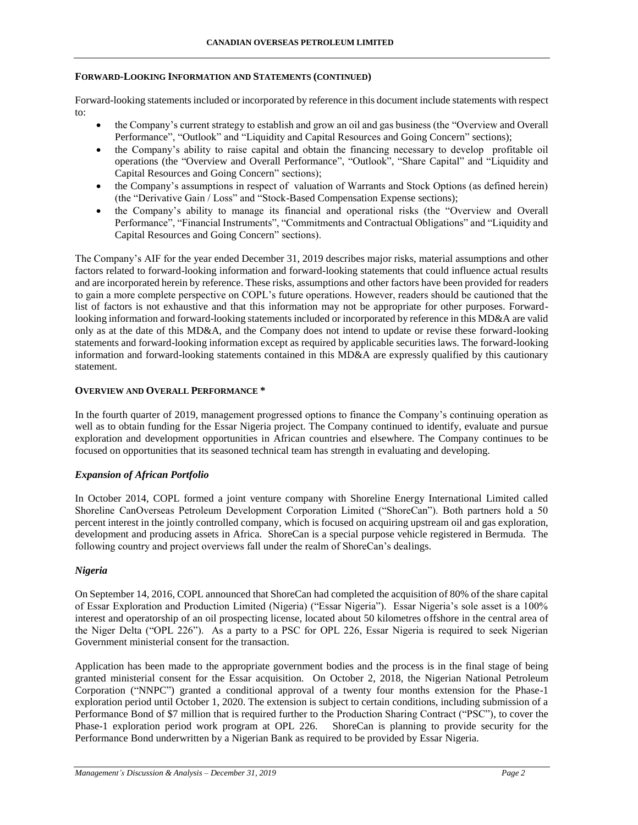### **FORWARD-LOOKING INFORMATION AND STATEMENTS (CONTINUED)**

Forward-looking statements included or incorporated by reference in this document include statements with respect to:

- the Company's current strategy to establish and grow an oil and gas business (the "Overview and Overall Performance", "Outlook" and "Liquidity and Capital Resources and Going Concern" sections);
- the Company's ability to raise capital and obtain the financing necessary to develop profitable oil operations (the "Overview and Overall Performance", "Outlook", "Share Capital" and "Liquidity and Capital Resources and Going Concern" sections);
- the Company's assumptions in respect of valuation of Warrants and Stock Options (as defined herein) (the "Derivative Gain / Loss" and "Stock-Based Compensation Expense sections);
- the Company's ability to manage its financial and operational risks (the "Overview and Overall Performance", "Financial Instruments", "Commitments and Contractual Obligations" and "Liquidity and Capital Resources and Going Concern" sections).

The Company's AIF for the year ended December 31, 2019 describes major risks, material assumptions and other factors related to forward-looking information and forward-looking statements that could influence actual results and are incorporated herein by reference. These risks, assumptions and other factors have been provided for readers to gain a more complete perspective on COPL's future operations. However, readers should be cautioned that the list of factors is not exhaustive and that this information may not be appropriate for other purposes. Forwardlooking information and forward-looking statements included or incorporated by reference in this MD&A are valid only as at the date of this MD&A, and the Company does not intend to update or revise these forward-looking statements and forward-looking information except as required by applicable securities laws. The forward-looking information and forward-looking statements contained in this MD&A are expressly qualified by this cautionary statement.

### **OVERVIEW AND OVERALL PERFORMANCE \***

In the fourth quarter of 2019, management progressed options to finance the Company's continuing operation as well as to obtain funding for the Essar Nigeria project. The Company continued to identify, evaluate and pursue exploration and development opportunities in African countries and elsewhere. The Company continues to be focused on opportunities that its seasoned technical team has strength in evaluating and developing.

## *Expansion of African Portfolio*

In October 2014, COPL formed a joint venture company with Shoreline Energy International Limited called Shoreline CanOverseas Petroleum Development Corporation Limited ("ShoreCan"). Both partners hold a 50 percent interest in the jointly controlled company, which is focused on acquiring upstream oil and gas exploration, development and producing assets in Africa. ShoreCan is a special purpose vehicle registered in Bermuda. The following country and project overviews fall under the realm of ShoreCan's dealings.

## *Nigeria*

On September 14, 2016, COPL announced that ShoreCan had completed the acquisition of 80% of the share capital of Essar Exploration and Production Limited (Nigeria) ("Essar Nigeria"). Essar Nigeria's sole asset is a 100% interest and operatorship of an oil prospecting license, located about 50 kilometres offshore in the central area of the Niger Delta ("OPL 226"). As a party to a PSC for OPL 226, Essar Nigeria is required to seek Nigerian Government ministerial consent for the transaction.

Application has been made to the appropriate government bodies and the process is in the final stage of being granted ministerial consent for the Essar acquisition. On October 2, 2018, the Nigerian National Petroleum Corporation ("NNPC") granted a conditional approval of a twenty four months extension for the Phase-1 exploration period until October 1, 2020. The extension is subject to certain conditions, including submission of a Performance Bond of \$7 million that is required further to the Production Sharing Contract ("PSC"), to cover the Phase-1 exploration period work program at OPL 226. ShoreCan is planning to provide security for the Performance Bond underwritten by a Nigerian Bank as required to be provided by Essar Nigeria.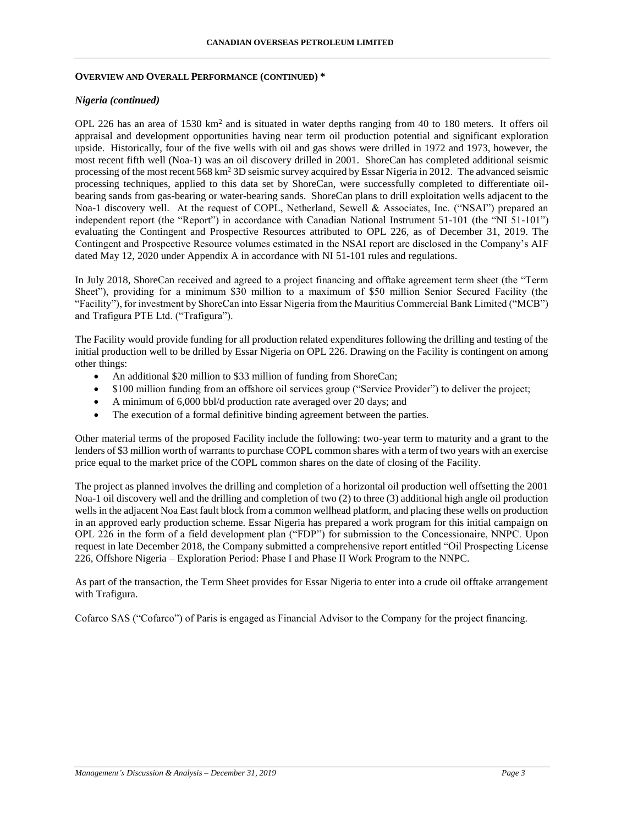#### **OVERVIEW AND OVERALL PERFORMANCE (CONTINUED) \***

#### *Nigeria (continued)*

OPL 226 has an area of 1530  $km^2$  and is situated in water depths ranging from 40 to 180 meters. It offers oil appraisal and development opportunities having near term oil production potential and significant exploration upside. Historically, four of the five wells with oil and gas shows were drilled in 1972 and 1973, however, the most recent fifth well (Noa-1) was an oil discovery drilled in 2001. ShoreCan has completed additional seismic processing of the most recent 568 km<sup>2</sup> 3D seismic survey acquired by Essar Nigeria in 2012. The advanced seismic processing techniques, applied to this data set by ShoreCan, were successfully completed to differentiate oilbearing sands from gas-bearing or water-bearing sands. ShoreCan plans to drill exploitation wells adjacent to the Noa-1 discovery well. At the request of COPL, Netherland, Sewell & Associates, Inc. ("NSAI") prepared an independent report (the "Report") in accordance with Canadian National Instrument 51-101 (the "NI 51-101") evaluating the Contingent and Prospective Resources attributed to OPL 226, as of December 31, 2019. The Contingent and Prospective Resource volumes estimated in the NSAI report are disclosed in the Company's AIF dated May 12, 2020 under Appendix A in accordance with NI 51-101 rules and regulations.

In July 2018, ShoreCan received and agreed to a project financing and offtake agreement term sheet (the "Term Sheet"), providing for a minimum \$30 million to a maximum of \$50 million Senior Secured Facility (the "Facility"), for investment by ShoreCan into Essar Nigeria from the Mauritius Commercial Bank Limited ("MCB") and Trafigura PTE Ltd. ("Trafigura").

The Facility would provide funding for all production related expenditures following the drilling and testing of the initial production well to be drilled by Essar Nigeria on OPL 226. Drawing on the Facility is contingent on among other things:

- An additional \$20 million to \$33 million of funding from ShoreCan;
- \$100 million funding from an offshore oil services group ("Service Provider") to deliver the project;
- A minimum of 6,000 bbl/d production rate averaged over 20 days; and
- The execution of a formal definitive binding agreement between the parties.

Other material terms of the proposed Facility include the following: two-year term to maturity and a grant to the lenders of \$3 million worth of warrants to purchase COPL common shares with a term of two years with an exercise price equal to the market price of the COPL common shares on the date of closing of the Facility.

The project as planned involves the drilling and completion of a horizontal oil production well offsetting the 2001 Noa-1 oil discovery well and the drilling and completion of two (2) to three (3) additional high angle oil production wells in the adjacent Noa East fault block from a common wellhead platform, and placing these wells on production in an approved early production scheme. Essar Nigeria has prepared a work program for this initial campaign on OPL 226 in the form of a field development plan ("FDP") for submission to the Concessionaire, NNPC. Upon request in late December 2018, the Company submitted a comprehensive report entitled "Oil Prospecting License 226, Offshore Nigeria – Exploration Period: Phase I and Phase II Work Program to the NNPC.

As part of the transaction, the Term Sheet provides for Essar Nigeria to enter into a crude oil offtake arrangement with Trafigura.

Cofarco SAS ("Cofarco") of Paris is engaged as Financial Advisor to the Company for the project financing.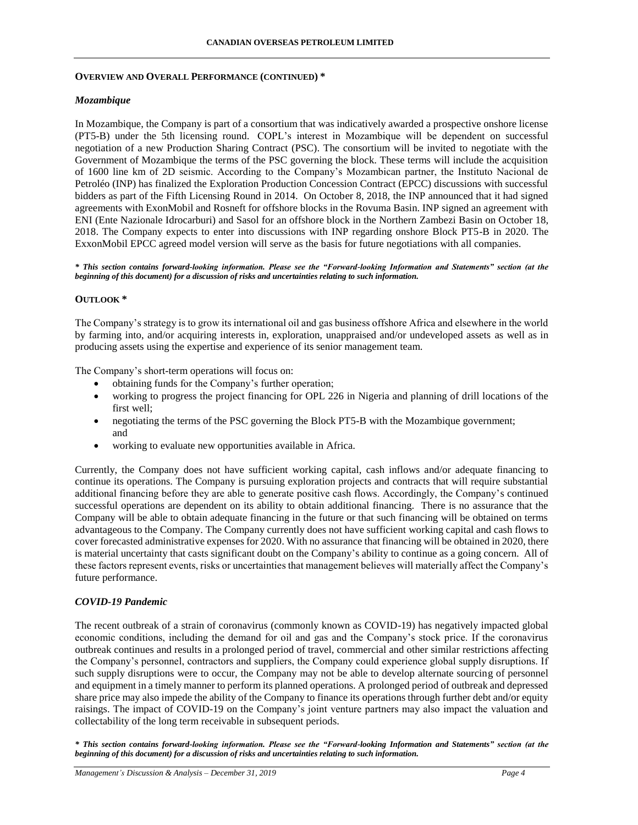#### **OVERVIEW AND OVERALL PERFORMANCE (CONTINUED) \***

### *Mozambique*

In Mozambique, the Company is part of a consortium that was indicatively awarded a prospective onshore license (PT5-B) under the 5th licensing round. COPL's interest in Mozambique will be dependent on successful negotiation of a new Production Sharing Contract (PSC). The consortium will be invited to negotiate with the Government of Mozambique the terms of the PSC governing the block. These terms will include the acquisition of 1600 line km of 2D seismic. According to the Company's Mozambican partner, the Instituto Nacional de Petroléo (INP) has finalized the Exploration Production Concession Contract (EPCC) discussions with successful bidders as part of the Fifth Licensing Round in 2014. On October 8, 2018, the INP announced that it had signed agreements with ExonMobil and Rosneft for offshore blocks in the Rovuma Basin. INP signed an agreement with ENI (Ente Nazionale Idrocarburi) and Sasol for an offshore block in the Northern Zambezi Basin on October 18, 2018. The Company expects to enter into discussions with INP regarding onshore Block PT5-B in 2020. The ExxonMobil EPCC agreed model version will serve as the basis for future negotiations with all companies.

*\* This section contains forward-looking information. Please see the "Forward-looking Information and Statements" section (at the beginning of this document) for a discussion of risks and uncertainties relating to such information.*

#### **OUTLOOK \***

The Company's strategy is to grow its international oil and gas business offshore Africa and elsewhere in the world by farming into, and/or acquiring interests in, exploration, unappraised and/or undeveloped assets as well as in producing assets using the expertise and experience of its senior management team.

The Company's short-term operations will focus on:

- obtaining funds for the Company's further operation;
- working to progress the project financing for OPL 226 in Nigeria and planning of drill locations of the first well;
- negotiating the terms of the PSC governing the Block PT5-B with the Mozambique government; and
- working to evaluate new opportunities available in Africa.

Currently, the Company does not have sufficient working capital, cash inflows and/or adequate financing to continue its operations. The Company is pursuing exploration projects and contracts that will require substantial additional financing before they are able to generate positive cash flows. Accordingly, the Company's continued successful operations are dependent on its ability to obtain additional financing. There is no assurance that the Company will be able to obtain adequate financing in the future or that such financing will be obtained on terms advantageous to the Company. The Company currently does not have sufficient working capital and cash flows to cover forecasted administrative expenses for 2020. With no assurance that financing will be obtained in 2020, there is material uncertainty that casts significant doubt on the Company's ability to continue as a going concern. All of these factors represent events, risks or uncertainties that management believes will materially affect the Company's future performance.

#### *COVID-19 Pandemic*

The recent outbreak of a strain of coronavirus (commonly known as COVID-19) has negatively impacted global economic conditions, including the demand for oil and gas and the Company's stock price. If the coronavirus outbreak continues and results in a prolonged period of travel, commercial and other similar restrictions affecting the Company's personnel, contractors and suppliers, the Company could experience global supply disruptions. If such supply disruptions were to occur, the Company may not be able to develop alternate sourcing of personnel and equipment in a timely manner to perform its planned operations. A prolonged period of outbreak and depressed share price may also impede the ability of the Company to finance its operations through further debt and/or equity raisings. The impact of COVID-19 on the Company's joint venture partners may also impact the valuation and collectability of the long term receivable in subsequent periods.

*\* This section contains forward-looking information. Please see the "Forward-looking Information and Statements" section (at the beginning of this document) for a discussion of risks and uncertainties relating to such information.*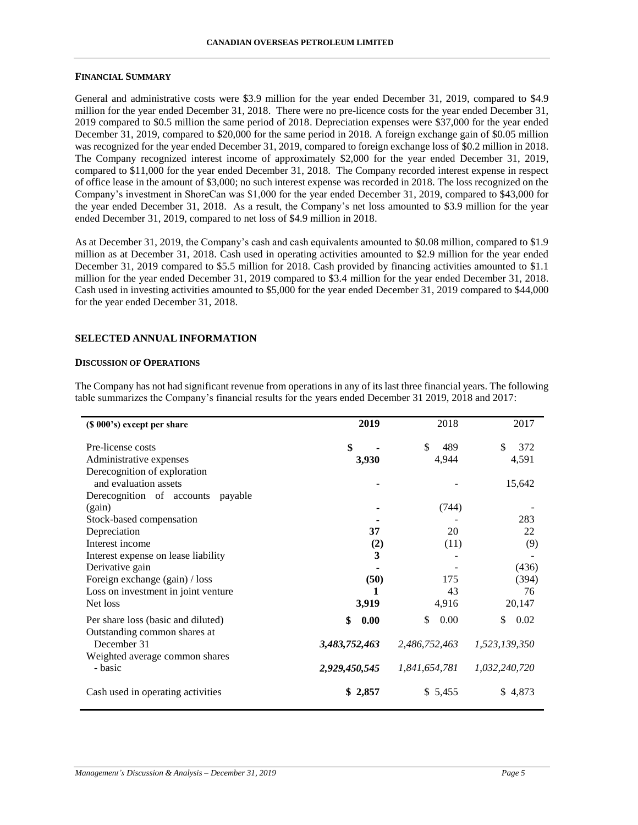#### **FINANCIAL SUMMARY**

General and administrative costs were \$3.9 million for the year ended December 31, 2019, compared to \$4.9 million for the year ended December 31, 2018. There were no pre-licence costs for the year ended December 31, 2019 compared to \$0.5 million the same period of 2018. Depreciation expenses were \$37,000 for the year ended December 31, 2019, compared to \$20,000 for the same period in 2018. A foreign exchange gain of \$0.05 million was recognized for the year ended December 31, 2019, compared to foreign exchange loss of \$0.2 million in 2018. The Company recognized interest income of approximately \$2,000 for the year ended December 31, 2019, compared to \$11,000 for the year ended December 31, 2018. The Company recorded interest expense in respect of office lease in the amount of \$3,000; no such interest expense was recorded in 2018. The loss recognized on the Company's investment in ShoreCan was \$1,000 for the year ended December 31, 2019, compared to \$43,000 for the year ended December 31, 2018. As a result, the Company's net loss amounted to \$3.9 million for the year ended December 31, 2019, compared to net loss of \$4.9 million in 2018.

As at December 31, 2019, the Company's cash and cash equivalents amounted to \$0.08 million, compared to \$1.9 million as at December 31, 2018. Cash used in operating activities amounted to \$2.9 million for the year ended December 31, 2019 compared to \$5.5 million for 2018. Cash provided by financing activities amounted to \$1.1 million for the year ended December 31, 2019 compared to \$3.4 million for the year ended December 31, 2018. Cash used in investing activities amounted to \$5,000 for the year ended December 31, 2019 compared to \$44,000 for the year ended December 31, 2018.

### **SELECTED ANNUAL INFORMATION**

#### **DISCUSSION OF OPERATIONS**

The Company has not had significant revenue from operations in any of its last three financial years. The following table summarizes the Company's financial results for the years ended December 31 2019, 2018 and 2017:

| (\$ 000's) except per share                 | 2019          | 2018          | 2017          |
|---------------------------------------------|---------------|---------------|---------------|
| Pre-license costs                           | \$            | \$<br>489     | \$<br>372     |
| Administrative expenses                     | 3,930         | 4,944         | 4,591         |
| Derecognition of exploration                |               |               |               |
| and evaluation assets                       |               |               | 15,642        |
| Derecognition of accounts payable           |               |               |               |
| (gain)                                      |               | (744)         |               |
| Stock-based compensation                    |               |               | 283           |
| Depreciation                                | 37            | 20            | 22            |
| Interest income                             | (2)           | (11)          | (9)           |
| Interest expense on lease liability         | 3             |               |               |
| Derivative gain                             |               |               | (436)         |
| Foreign exchange (gain) / loss              | (50)          | 175           | (394)         |
| Loss on investment in joint venture         |               | 43            | 76            |
| Net loss                                    | 3,919         | 4,916         | 20,147        |
| Per share loss (basic and diluted)          | \$<br>0.00    | \$<br>0.00    | \$<br>0.02    |
| Outstanding common shares at<br>December 31 | 3,483,752,463 | 2,486,752,463 | 1,523,139,350 |
| Weighted average common shares<br>- basic   | 2,929,450,545 | 1,841,654,781 | 1,032,240,720 |
| Cash used in operating activities           | \$2,857       | \$5,455       | \$4,873       |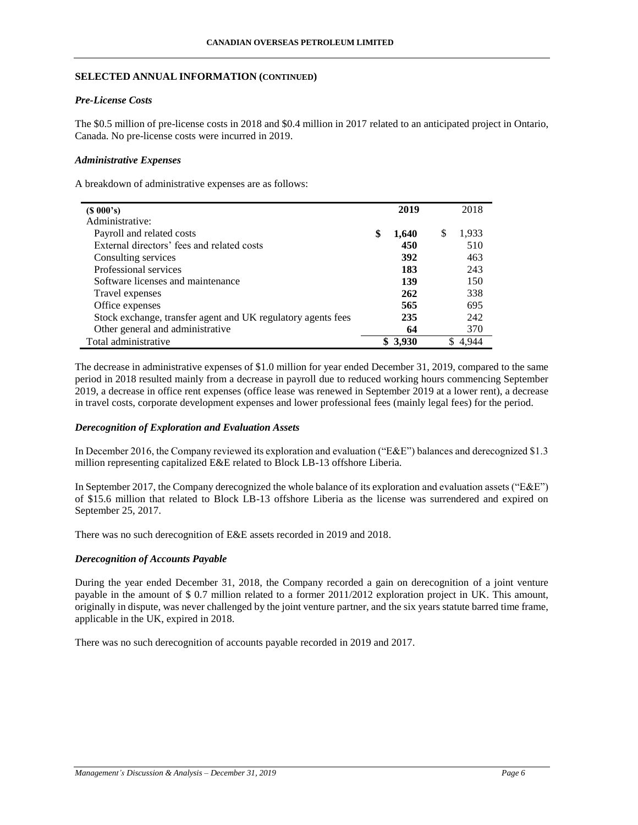## **SELECTED ANNUAL INFORMATION (CONTINUED)**

## *Pre-License Costs*

The \$0.5 million of pre-license costs in 2018 and \$0.4 million in 2017 related to an anticipated project in Ontario, Canada. No pre-license costs were incurred in 2019.

### *Administrative Expenses*

A breakdown of administrative expenses are as follows:

| $(S\ 000's)$                                                 | 2019        | 2018        |
|--------------------------------------------------------------|-------------|-------------|
| Administrative:                                              |             |             |
| Payroll and related costs                                    | \$<br>1,640 | \$<br>1,933 |
| External directors' fees and related costs                   | 450         | 510         |
| Consulting services                                          | 392         | 463         |
| Professional services                                        | 183         | 243         |
| Software licenses and maintenance                            | 139         | 150         |
| Travel expenses                                              | 262         | 338         |
| Office expenses                                              | 565         | 695         |
| Stock exchange, transfer agent and UK regulatory agents fees | 235         | 242         |
| Other general and administrative                             | 64          | 370         |
| Total administrative                                         | \$3,930     | 4.944       |

The decrease in administrative expenses of \$1.0 million for year ended December 31, 2019, compared to the same period in 2018 resulted mainly from a decrease in payroll due to reduced working hours commencing September 2019, a decrease in office rent expenses (office lease was renewed in September 2019 at a lower rent), a decrease in travel costs, corporate development expenses and lower professional fees (mainly legal fees) for the period.

## *Derecognition of Exploration and Evaluation Assets*

In December 2016, the Company reviewed its exploration and evaluation ("E&E") balances and derecognized \$1.3 million representing capitalized E&E related to Block LB-13 offshore Liberia.

In September 2017, the Company derecognized the whole balance of its exploration and evaluation assets ("E&E") of \$15.6 million that related to Block LB-13 offshore Liberia as the license was surrendered and expired on September 25, 2017.

There was no such derecognition of E&E assets recorded in 2019 and 2018.

#### *Derecognition of Accounts Payable*

During the year ended December 31, 2018, the Company recorded a gain on derecognition of a joint venture payable in the amount of \$ 0.7 million related to a former 2011/2012 exploration project in UK. This amount, originally in dispute, was never challenged by the joint venture partner, and the six years statute barred time frame, applicable in the UK, expired in 2018.

There was no such derecognition of accounts payable recorded in 2019 and 2017.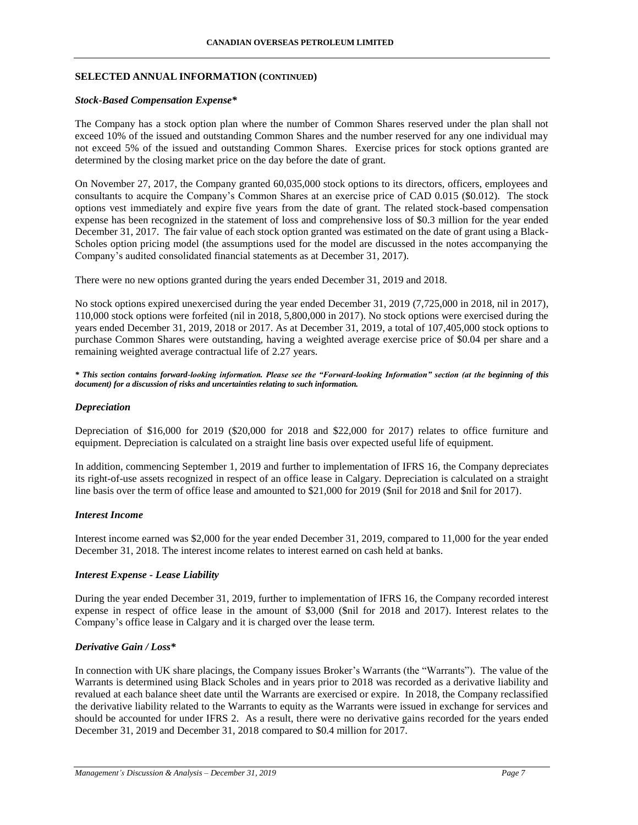#### **SELECTED ANNUAL INFORMATION (CONTINUED)**

#### *Stock-Based Compensation Expense\**

The Company has a stock option plan where the number of Common Shares reserved under the plan shall not exceed 10% of the issued and outstanding Common Shares and the number reserved for any one individual may not exceed 5% of the issued and outstanding Common Shares. Exercise prices for stock options granted are determined by the closing market price on the day before the date of grant.

On November 27, 2017, the Company granted 60,035,000 stock options to its directors, officers, employees and consultants to acquire the Company's Common Shares at an exercise price of CAD 0.015 (\$0.012). The stock options vest immediately and expire five years from the date of grant. The related stock-based compensation expense has been recognized in the statement of loss and comprehensive loss of \$0.3 million for the year ended December 31, 2017. The fair value of each stock option granted was estimated on the date of grant using a Black-Scholes option pricing model (the assumptions used for the model are discussed in the notes accompanying the Company's audited consolidated financial statements as at December 31, 2017).

There were no new options granted during the years ended December 31, 2019 and 2018.

No stock options expired unexercised during the year ended December 31, 2019 (7,725,000 in 2018, nil in 2017), 110,000 stock options were forfeited (nil in 2018, 5,800,000 in 2017). No stock options were exercised during the years ended December 31, 2019, 2018 or 2017. As at December 31, 2019, a total of 107,405,000 stock options to purchase Common Shares were outstanding, having a weighted average exercise price of \$0.04 per share and a remaining weighted average contractual life of 2.27 years.

*\* This section contains forward-looking information. Please see the "Forward-looking Information" section (at the beginning of this document) for a discussion of risks and uncertainties relating to such information.*

#### *Depreciation*

Depreciation of \$16,000 for 2019 (\$20,000 for 2018 and \$22,000 for 2017) relates to office furniture and equipment. Depreciation is calculated on a straight line basis over expected useful life of equipment.

In addition, commencing September 1, 2019 and further to implementation of IFRS 16, the Company depreciates its right-of-use assets recognized in respect of an office lease in Calgary. Depreciation is calculated on a straight line basis over the term of office lease and amounted to \$21,000 for 2019 (\$nil for 2018 and \$nil for 2017).

### *Interest Income*

Interest income earned was \$2,000 for the year ended December 31, 2019, compared to 11,000 for the year ended December 31, 2018. The interest income relates to interest earned on cash held at banks.

#### *Interest Expense - Lease Liability*

During the year ended December 31, 2019, further to implementation of IFRS 16, the Company recorded interest expense in respect of office lease in the amount of \$3,000 (\$nil for 2018 and 2017). Interest relates to the Company's office lease in Calgary and it is charged over the lease term.

### *Derivative Gain / Loss\**

In connection with UK share placings, the Company issues Broker's Warrants (the "Warrants"). The value of the Warrants is determined using Black Scholes and in years prior to 2018 was recorded as a derivative liability and revalued at each balance sheet date until the Warrants are exercised or expire. In 2018, the Company reclassified the derivative liability related to the Warrants to equity as the Warrants were issued in exchange for services and should be accounted for under IFRS 2. As a result, there were no derivative gains recorded for the years ended December 31, 2019 and December 31, 2018 compared to \$0.4 million for 2017.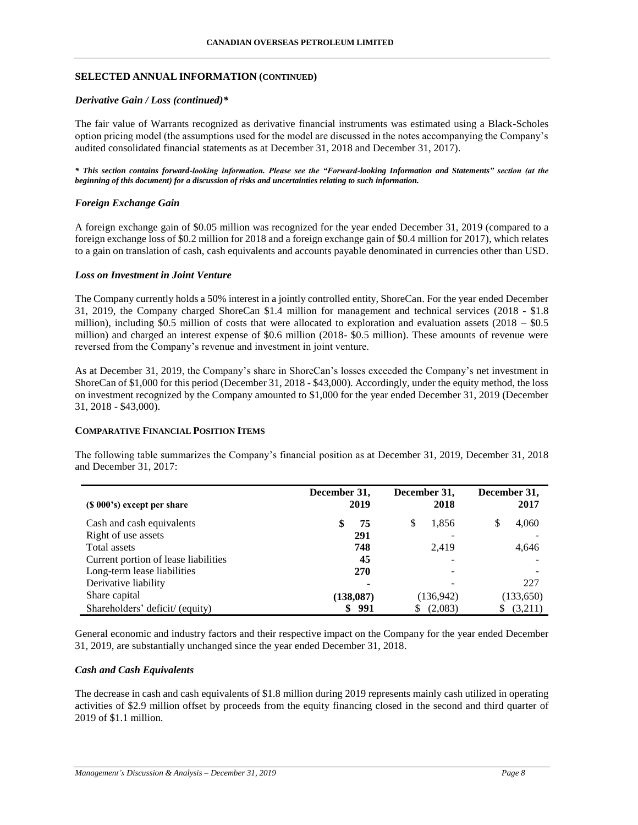### **SELECTED ANNUAL INFORMATION (CONTINUED)**

### *Derivative Gain / Loss (continued)\**

The fair value of Warrants recognized as derivative financial instruments was estimated using a Black-Scholes option pricing model (the assumptions used for the model are discussed in the notes accompanying the Company's audited consolidated financial statements as at December 31, 2018 and December 31, 2017).

*\* This section contains forward-looking information. Please see the "Forward-looking Information and Statements" section (at the beginning of this document) for a discussion of risks and uncertainties relating to such information.*

### *Foreign Exchange Gain*

A foreign exchange gain of \$0.05 million was recognized for the year ended December 31, 2019 (compared to a foreign exchange loss of \$0.2 million for 2018 and a foreign exchange gain of \$0.4 million for 2017), which relates to a gain on translation of cash, cash equivalents and accounts payable denominated in currencies other than USD.

#### *Loss on Investment in Joint Venture*

The Company currently holds a 50% interest in a jointly controlled entity, ShoreCan. For the year ended December 31, 2019, the Company charged ShoreCan \$1.4 million for management and technical services (2018 - \$1.8 million), including \$0.5 million of costs that were allocated to exploration and evaluation assets  $(2018 - $0.5$ million) and charged an interest expense of \$0.6 million (2018- \$0.5 million). These amounts of revenue were reversed from the Company's revenue and investment in joint venture.

As at December 31, 2019, the Company's share in ShoreCan's losses exceeded the Company's net investment in ShoreCan of \$1,000 for this period (December 31, 2018 - \$43,000). Accordingly, under the equity method, the loss on investment recognized by the Company amounted to \$1,000 for the year ended December 31, 2019 (December 31, 2018 - \$43,000).

#### **COMPARATIVE FINANCIAL POSITION ITEMS**

The following table summarizes the Company's financial position as at December 31, 2019, December 31, 2018 and December 31, 2017:

| $(S 000's)$ except per share         | December 31,<br>2019 | December 31,<br>2018 | December 31,<br>2017 |
|--------------------------------------|----------------------|----------------------|----------------------|
| Cash and cash equivalents            | \$<br>75             | S<br>1,856           | S<br>4,060           |
| Right of use assets                  | 291                  |                      |                      |
| Total assets                         | 748                  | 2.419                | 4,646                |
| Current portion of lease liabilities | 45                   |                      |                      |
| Long-term lease liabilities          | 270                  |                      |                      |
| Derivative liability                 |                      |                      | 227                  |
| Share capital                        | (138,087)            | (136,942)            | (133,650)            |
| Shareholders' deficit/ (equity)      | 991                  | (2,083)              | (3,211)              |

General economic and industry factors and their respective impact on the Company for the year ended December 31, 2019, are substantially unchanged since the year ended December 31, 2018.

#### *Cash and Cash Equivalents*

The decrease in cash and cash equivalents of \$1.8 million during 2019 represents mainly cash utilized in operating activities of \$2.9 million offset by proceeds from the equity financing closed in the second and third quarter of 2019 of \$1.1 million.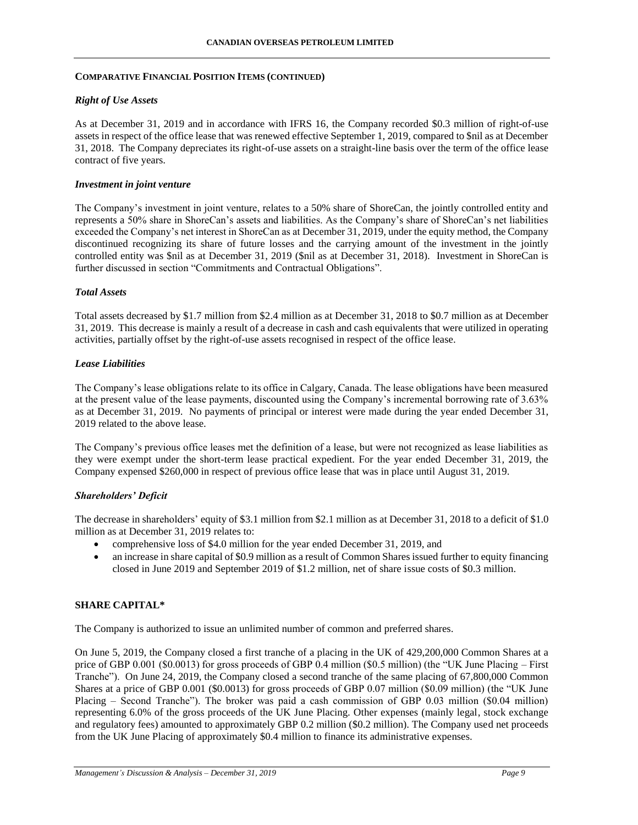### **COMPARATIVE FINANCIAL POSITION ITEMS (CONTINUED)**

### *Right of Use Assets*

As at December 31, 2019 and in accordance with IFRS 16, the Company recorded \$0.3 million of right-of-use assets in respect of the office lease that was renewed effective September 1, 2019, compared to \$nil as at December 31, 2018. The Company depreciates its right-of-use assets on a straight-line basis over the term of the office lease contract of five years.

### *Investment in joint venture*

The Company's investment in joint venture, relates to a 50% share of ShoreCan, the jointly controlled entity and represents a 50% share in ShoreCan's assets and liabilities. As the Company's share of ShoreCan's net liabilities exceeded the Company's net interest in ShoreCan as at December 31, 2019, under the equity method, the Company discontinued recognizing its share of future losses and the carrying amount of the investment in the jointly controlled entity was \$nil as at December 31, 2019 (\$nil as at December 31, 2018). Investment in ShoreCan is further discussed in section "Commitments and Contractual Obligations".

### *Total Assets*

Total assets decreased by \$1.7 million from \$2.4 million as at December 31, 2018 to \$0.7 million as at December 31, 2019. This decrease is mainly a result of a decrease in cash and cash equivalents that were utilized in operating activities, partially offset by the right-of-use assets recognised in respect of the office lease.

### *Lease Liabilities*

The Company's lease obligations relate to its office in Calgary, Canada. The lease obligations have been measured at the present value of the lease payments, discounted using the Company's incremental borrowing rate of 3.63% as at December 31, 2019. No payments of principal or interest were made during the year ended December 31, 2019 related to the above lease.

The Company's previous office leases met the definition of a lease, but were not recognized as lease liabilities as they were exempt under the short-term lease practical expedient. For the year ended December 31, 2019, the Company expensed \$260,000 in respect of previous office lease that was in place until August 31, 2019.

## *Shareholders' Deficit*

The decrease in shareholders' equity of \$3.1 million from \$2.1 million as at December 31, 2018 to a deficit of \$1.0 million as at December 31, 2019 relates to:

- comprehensive loss of \$4.0 million for the year ended December 31, 2019, and
- an increase in share capital of \$0.9 million as a result of Common Shares issued further to equity financing closed in June 2019 and September 2019 of \$1.2 million, net of share issue costs of \$0.3 million.

## **SHARE CAPITAL\***

The Company is authorized to issue an unlimited number of common and preferred shares.

On June 5, 2019, the Company closed a first tranche of a placing in the UK of 429,200,000 Common Shares at a price of GBP 0.001 (\$0.0013) for gross proceeds of GBP 0.4 million (\$0.5 million) (the "UK June Placing – First Tranche"). On June 24, 2019, the Company closed a second tranche of the same placing of 67,800,000 Common Shares at a price of GBP 0.001 (\$0.0013) for gross proceeds of GBP 0.07 million (\$0.09 million) (the "UK June Placing – Second Tranche"). The broker was paid a cash commission of GBP 0.03 million (\$0.04 million) representing 6.0% of the gross proceeds of the UK June Placing. Other expenses (mainly legal, stock exchange and regulatory fees) amounted to approximately GBP 0.2 million (\$0.2 million). The Company used net proceeds from the UK June Placing of approximately \$0.4 million to finance its administrative expenses.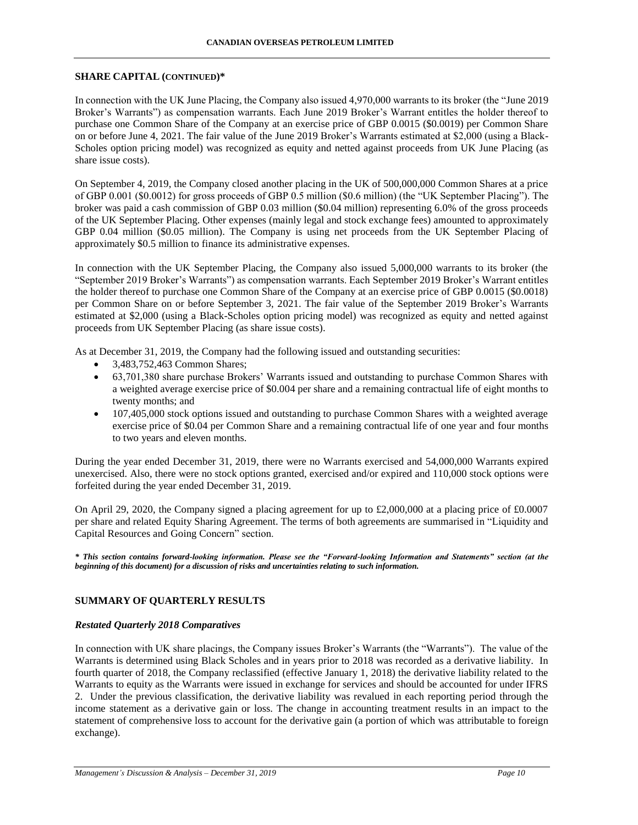### **SHARE CAPITAL (CONTINUED)\***

In connection with the UK June Placing, the Company also issued 4,970,000 warrants to its broker (the "June 2019 Broker's Warrants") as compensation warrants. Each June 2019 Broker's Warrant entitles the holder thereof to purchase one Common Share of the Company at an exercise price of GBP 0.0015 (\$0.0019) per Common Share on or before June 4, 2021. The fair value of the June 2019 Broker's Warrants estimated at \$2,000 (using a Black-Scholes option pricing model) was recognized as equity and netted against proceeds from UK June Placing (as share issue costs).

On September 4, 2019, the Company closed another placing in the UK of 500,000,000 Common Shares at a price of GBP 0.001 (\$0.0012) for gross proceeds of GBP 0.5 million (\$0.6 million) (the "UK September Placing"). The broker was paid a cash commission of GBP 0.03 million (\$0.04 million) representing 6.0% of the gross proceeds of the UK September Placing. Other expenses (mainly legal and stock exchange fees) amounted to approximately GBP 0.04 million (\$0.05 million). The Company is using net proceeds from the UK September Placing of approximately \$0.5 million to finance its administrative expenses.

In connection with the UK September Placing, the Company also issued 5,000,000 warrants to its broker (the "September 2019 Broker's Warrants") as compensation warrants. Each September 2019 Broker's Warrant entitles the holder thereof to purchase one Common Share of the Company at an exercise price of GBP 0.0015 (\$0.0018) per Common Share on or before September 3, 2021. The fair value of the September 2019 Broker's Warrants estimated at \$2,000 (using a Black-Scholes option pricing model) was recognized as equity and netted against proceeds from UK September Placing (as share issue costs).

As at December 31, 2019, the Company had the following issued and outstanding securities:

- 3,483,752,463 Common Shares;
- 63,701,380 share purchase Brokers' Warrants issued and outstanding to purchase Common Shares with a weighted average exercise price of \$0.004 per share and a remaining contractual life of eight months to twenty months; and
- 107,405,000 stock options issued and outstanding to purchase Common Shares with a weighted average exercise price of \$0.04 per Common Share and a remaining contractual life of one year and four months to two years and eleven months.

During the year ended December 31, 2019, there were no Warrants exercised and 54,000,000 Warrants expired unexercised. Also, there were no stock options granted, exercised and/or expired and 110,000 stock options were forfeited during the year ended December 31, 2019.

On April 29, 2020, the Company signed a placing agreement for up to £2,000,000 at a placing price of £0.0007 per share and related Equity Sharing Agreement. The terms of both agreements are summarised in "Liquidity and Capital Resources and Going Concern" section.

*\* This section contains forward-looking information. Please see the "Forward-looking Information and Statements" section (at the beginning of this document) for a discussion of risks and uncertainties relating to such information.*

## **SUMMARY OF QUARTERLY RESULTS**

#### *Restated Quarterly 2018 Comparatives*

In connection with UK share placings, the Company issues Broker's Warrants (the "Warrants"). The value of the Warrants is determined using Black Scholes and in years prior to 2018 was recorded as a derivative liability. In fourth quarter of 2018, the Company reclassified (effective January 1, 2018) the derivative liability related to the Warrants to equity as the Warrants were issued in exchange for services and should be accounted for under IFRS 2. Under the previous classification, the derivative liability was revalued in each reporting period through the income statement as a derivative gain or loss. The change in accounting treatment results in an impact to the statement of comprehensive loss to account for the derivative gain (a portion of which was attributable to foreign exchange).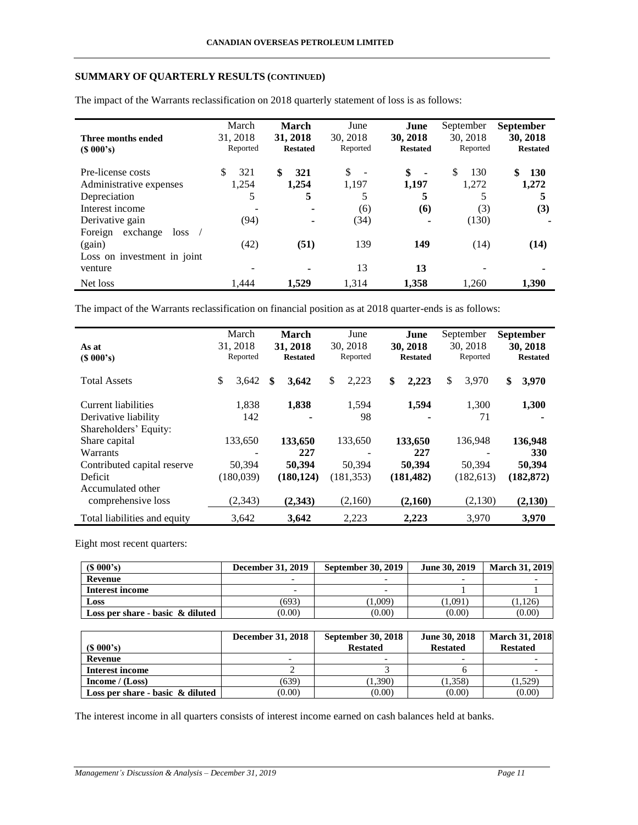# **SUMMARY OF QUARTERLY RESULTS (CONTINUED)**

|                             | March    | March           | June                                      | June            | September            | <b>September</b> |
|-----------------------------|----------|-----------------|-------------------------------------------|-----------------|----------------------|------------------|
| Three months ended          | 31, 2018 | 31, 2018        | 30, 2018                                  | 30, 2018        | 30, 2018             | 30, 2018         |
| $(S\ 000's)$                | Reported | <b>Restated</b> | Reported                                  | <b>Restated</b> | Reported             | <b>Restated</b>  |
| Pre-license costs           | 321      | \$<br>321       | <sup>\$</sup><br>$\overline{\phantom{a}}$ | \$              | <sup>\$</sup><br>130 | \$<br><b>130</b> |
| Administrative expenses     | 1,254    | 1,254           | 1,197                                     | 1,197           | 1,272                | 1,272            |
| Depreciation                | 5        | 5               |                                           | 5               | 5                    |                  |
| Interest income             |          |                 | (6)                                       | (6)             | (3)                  | (3)              |
| Derivative gain             | (94)     |                 | (34)                                      |                 | (130)                |                  |
| exchange<br>Foreign<br>loss |          |                 |                                           |                 |                      |                  |
| (gain)                      | (42)     | (51)            | 139                                       | 149             | (14)                 | (14)             |
| Loss on investment in joint |          |                 |                                           |                 |                      |                  |
| venture                     |          | ۰               | 13                                        | 13              |                      |                  |
| Net loss                    | 1.444    | 1.529           | 1,314                                     | 1,358           | 1,260                | 1,390            |

The impact of the Warrants reclassification on 2018 quarterly statement of loss is as follows:

The impact of the Warrants reclassification on financial position as at 2018 quarter-ends is as follows:

|                              |          | March      |   | March           | June        | June            | September   | <b>September</b> |
|------------------------------|----------|------------|---|-----------------|-------------|-----------------|-------------|------------------|
| As at                        | 31, 2018 |            |   | 31, 2018        | 30, 2018    | 30, 2018        | 30, 2018    | 30, 2018         |
| (S 000's)                    |          | Reported   |   | <b>Restated</b> | Reported    | <b>Restated</b> | Reported    | <b>Restated</b>  |
| <b>Total Assets</b>          | \$       | 3,642      | S | 3,642           | \$<br>2,223 | \$<br>2,223     | \$<br>3,970 | \$<br>3,970      |
| Current liabilities          |          | 1,838      |   | 1,838           | 1,594       | 1,594           | 1,300       | 1,300            |
| Derivative liability         |          | 142        |   |                 | 98          | -               | 71          | -                |
| Shareholders' Equity:        |          |            |   |                 |             |                 |             |                  |
| Share capital                |          | 133,650    |   | 133,650         | 133,650     | 133,650         | 136,948     | 136,948          |
| Warrants                     |          |            |   | 227             |             | 227             |             | 330              |
| Contributed capital reserve  |          | 50,394     |   | 50,394          | 50,394      | 50,394          | 50,394      | 50,394           |
| Deficit                      |          | (180, 039) |   | (180, 124)      | (181, 353)  | (181, 482)      | (182, 613)  | (182, 872)       |
| Accumulated other            |          |            |   |                 |             |                 |             |                  |
| comprehensive loss           |          | (2,343)    |   | (2,343)         | (2,160)     | (2,160)         | (2,130)     | (2,130)          |
| Total liabilities and equity |          | 3,642      |   | 3.642           | 2,223       | 2,223           | 3,970       | 3.970            |

Eight most recent quarters:

| (S 000's)                               | <b>December 31, 2019</b> | <b>September 30, 2019</b> | <b>June 30, 2019</b> | <b>March 31, 2019</b> |
|-----------------------------------------|--------------------------|---------------------------|----------------------|-----------------------|
| Revenue                                 |                          |                           |                      |                       |
| Interest income                         |                          |                           |                      |                       |
| Loss                                    | (693)                    | .1.009                    | 1.091                | 1.126)                |
| Loss per share - basic $\alpha$ diluted | (0.00)                   | (0.00)                    | (0.00)               | (0.00)                |

| $(S\ 000's)$                        | <b>December 31, 2018</b> | <b>September 30, 2018</b><br><b>Restated</b> | June 30, 2018<br><b>Restated</b> | <b>March 31, 2018</b><br><b>Restated</b> |
|-------------------------------------|--------------------------|----------------------------------------------|----------------------------------|------------------------------------------|
| Revenue                             | -                        | $\overline{\phantom{0}}$                     | $\overline{\phantom{0}}$         |                                          |
| Interest income                     |                          |                                              |                                  |                                          |
| Income $/(Loss)$                    | (639)                    | (1,390)                                      | (1,358)                          | (1,529)                                  |
| Loss per share - basic $\&$ diluted | (0.00)                   | (0.00)                                       | (0.00)                           | (0.00)                                   |

The interest income in all quarters consists of interest income earned on cash balances held at banks.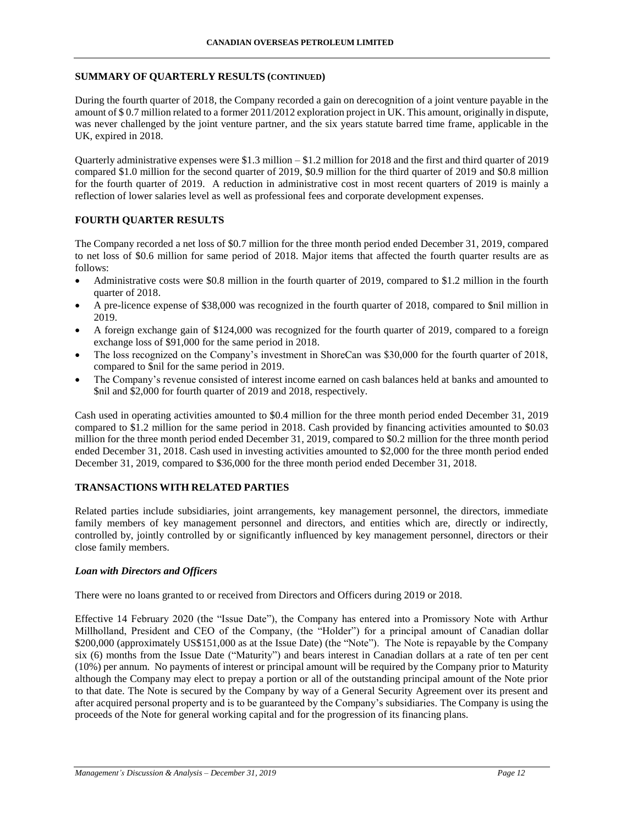### **SUMMARY OF QUARTERLY RESULTS (CONTINUED)**

During the fourth quarter of 2018, the Company recorded a gain on derecognition of a joint venture payable in the amount of \$ 0.7 million related to a former 2011/2012 exploration project in UK. This amount, originally in dispute, was never challenged by the joint venture partner, and the six years statute barred time frame, applicable in the UK, expired in 2018.

Quarterly administrative expenses were \$1.3 million – \$1.2 million for 2018 and the first and third quarter of 2019 compared \$1.0 million for the second quarter of 2019, \$0.9 million for the third quarter of 2019 and \$0.8 million for the fourth quarter of 2019. A reduction in administrative cost in most recent quarters of 2019 is mainly a reflection of lower salaries level as well as professional fees and corporate development expenses.

## **FOURTH QUARTER RESULTS**

The Company recorded a net loss of \$0.7 million for the three month period ended December 31, 2019, compared to net loss of \$0.6 million for same period of 2018. Major items that affected the fourth quarter results are as follows:

- Administrative costs were \$0.8 million in the fourth quarter of 2019, compared to \$1.2 million in the fourth quarter of 2018.
- A pre-licence expense of \$38,000 was recognized in the fourth quarter of 2018, compared to \$nil million in 2019.
- A foreign exchange gain of \$124,000 was recognized for the fourth quarter of 2019, compared to a foreign exchange loss of \$91,000 for the same period in 2018.
- The loss recognized on the Company's investment in ShoreCan was \$30,000 for the fourth quarter of 2018, compared to \$nil for the same period in 2019.
- The Company's revenue consisted of interest income earned on cash balances held at banks and amounted to \$nil and \$2,000 for fourth quarter of 2019 and 2018, respectively.

Cash used in operating activities amounted to \$0.4 million for the three month period ended December 31, 2019 compared to \$1.2 million for the same period in 2018. Cash provided by financing activities amounted to \$0.03 million for the three month period ended December 31, 2019, compared to \$0.2 million for the three month period ended December 31, 2018. Cash used in investing activities amounted to \$2,000 for the three month period ended December 31, 2019, compared to \$36,000 for the three month period ended December 31, 2018.

## **TRANSACTIONS WITH RELATED PARTIES**

Related parties include subsidiaries, joint arrangements, key management personnel, the directors, immediate family members of key management personnel and directors, and entities which are, directly or indirectly, controlled by, jointly controlled by or significantly influenced by key management personnel, directors or their close family members.

#### *Loan with Directors and Officers*

There were no loans granted to or received from Directors and Officers during 2019 or 2018.

Effective 14 February 2020 (the "Issue Date"), the Company has entered into a Promissory Note with Arthur Millholland, President and CEO of the Company, (the "Holder") for a principal amount of Canadian dollar \$200,000 (approximately US\$151,000 as at the Issue Date) (the "Note"). The Note is repayable by the Company six (6) months from the Issue Date ("Maturity") and bears interest in Canadian dollars at a rate of ten per cent (10%) per annum. No payments of interest or principal amount will be required by the Company prior to Maturity although the Company may elect to prepay a portion or all of the outstanding principal amount of the Note prior to that date. The Note is secured by the Company by way of a General Security Agreement over its present and after acquired personal property and is to be guaranteed by the Company's subsidiaries. The Company is using the proceeds of the Note for general working capital and for the progression of its financing plans.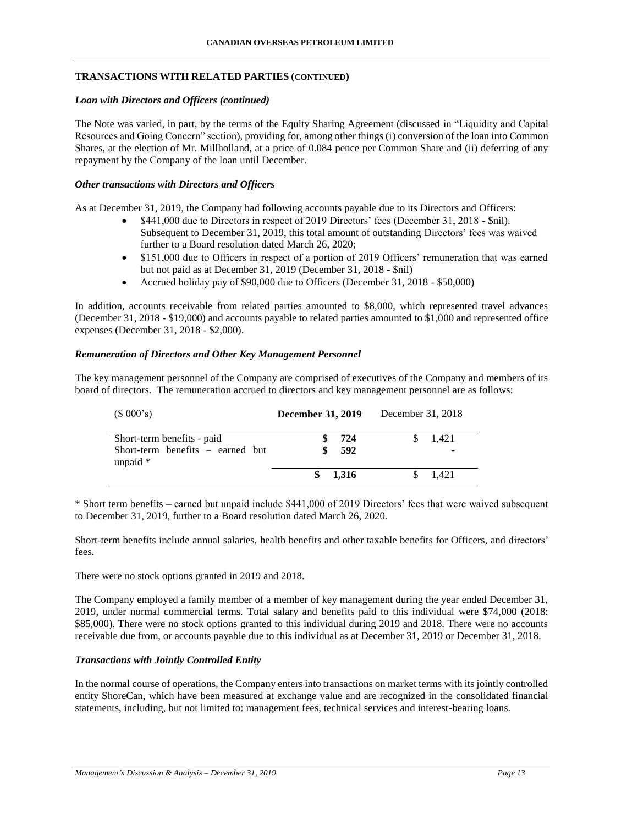### **TRANSACTIONS WITH RELATED PARTIES (CONTINUED)**

### *Loan with Directors and Officers (continued)*

The Note was varied, in part, by the terms of the Equity Sharing Agreement (discussed in "Liquidity and Capital Resources and Going Concern" section), providing for, among other things (i) conversion of the loan into Common Shares, at the election of Mr. Millholland, at a price of 0.084 pence per Common Share and (ii) deferring of any repayment by the Company of the loan until December.

### *Other transactions with Directors and Officers*

As at December 31, 2019, the Company had following accounts payable due to its Directors and Officers:

- \$441,000 due to Directors in respect of 2019 Directors' fees (December 31, 2018 \$nil). Subsequent to December 31, 2019, this total amount of outstanding Directors' fees was waived further to a Board resolution dated March 26, 2020;
- \$151,000 due to Officers in respect of a portion of 2019 Officers' remuneration that was earned but not paid as at December 31, 2019 (December 31, 2018 - \$nil)
- Accrued holiday pay of \$90,000 due to Officers (December 31, 2018 \$50,000)

In addition, accounts receivable from related parties amounted to \$8,000, which represented travel advances (December 31, 2018 - \$19,000) and accounts payable to related parties amounted to \$1,000 and represented office expenses (December 31, 2018 - \$2,000).

#### *Remuneration of Directors and Other Key Management Personnel*

The key management personnel of the Company are comprised of executives of the Company and members of its board of directors. The remuneration accrued to directors and key management personnel are as follows:

| (\$000's)                                                                      | <b>December 31, 2019</b> | December 31, 2018 |
|--------------------------------------------------------------------------------|--------------------------|-------------------|
| Short-term benefits - paid<br>Short-term benefits $-$ earned but<br>unpaid $*$ | 724<br>592               | 1.421             |
|                                                                                | 1.316                    | 1.421             |

\* Short term benefits – earned but unpaid include \$441,000 of 2019 Directors' fees that were waived subsequent to December 31, 2019, further to a Board resolution dated March 26, 2020.

Short-term benefits include annual salaries, health benefits and other taxable benefits for Officers, and directors' fees.

There were no stock options granted in 2019 and 2018.

The Company employed a family member of a member of key management during the year ended December 31, 2019, under normal commercial terms. Total salary and benefits paid to this individual were \$74,000 (2018: \$85,000). There were no stock options granted to this individual during 2019 and 2018. There were no accounts receivable due from, or accounts payable due to this individual as at December 31, 2019 or December 31, 2018.

#### *Transactions with Jointly Controlled Entity*

In the normal course of operations, the Company enters into transactions on market terms with its jointly controlled entity ShoreCan, which have been measured at exchange value and are recognized in the consolidated financial statements, including, but not limited to: management fees, technical services and interest-bearing loans.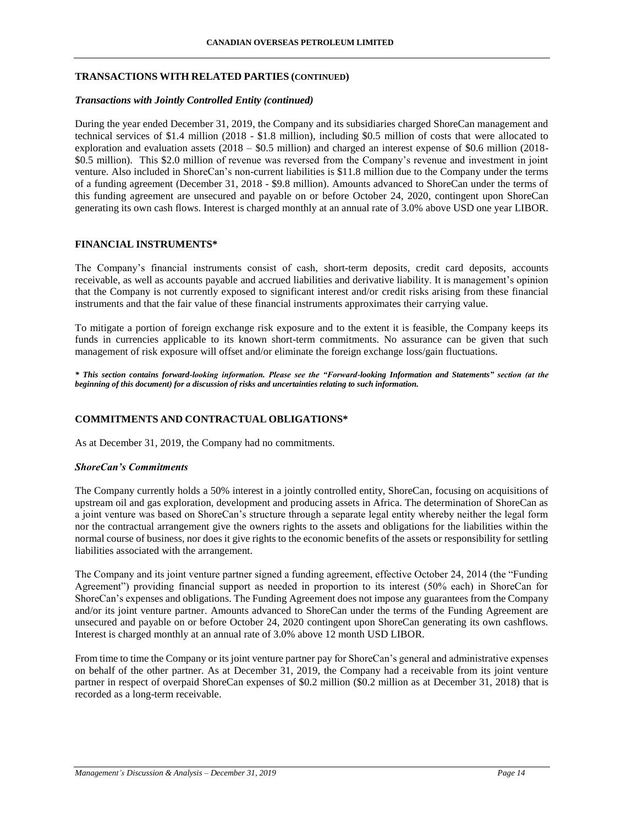### **TRANSACTIONS WITH RELATED PARTIES (CONTINUED)**

### *Transactions with Jointly Controlled Entity (continued)*

During the year ended December 31, 2019, the Company and its subsidiaries charged ShoreCan management and technical services of \$1.4 million (2018 - \$1.8 million), including \$0.5 million of costs that were allocated to exploration and evaluation assets (2018 – \$0.5 million) and charged an interest expense of \$0.6 million (2018- \$0.5 million). This \$2.0 million of revenue was reversed from the Company's revenue and investment in joint venture. Also included in ShoreCan's non-current liabilities is \$11.8 million due to the Company under the terms of a funding agreement (December 31, 2018 - \$9.8 million). Amounts advanced to ShoreCan under the terms of this funding agreement are unsecured and payable on or before October 24, 2020, contingent upon ShoreCan generating its own cash flows. Interest is charged monthly at an annual rate of 3.0% above USD one year LIBOR.

### **FINANCIAL INSTRUMENTS\***

The Company's financial instruments consist of cash, short-term deposits, credit card deposits, accounts receivable, as well as accounts payable and accrued liabilities and derivative liability. It is management's opinion that the Company is not currently exposed to significant interest and/or credit risks arising from these financial instruments and that the fair value of these financial instruments approximates their carrying value.

To mitigate a portion of foreign exchange risk exposure and to the extent it is feasible, the Company keeps its funds in currencies applicable to its known short-term commitments. No assurance can be given that such management of risk exposure will offset and/or eliminate the foreign exchange loss/gain fluctuations.

*\* This section contains forward-looking information. Please see the "Forward-looking Information and Statements" section (at the beginning of this document) for a discussion of risks and uncertainties relating to such information.*

## **COMMITMENTS AND CONTRACTUAL OBLIGATIONS\***

As at December 31, 2019, the Company had no commitments.

#### *ShoreCan's Commitments*

The Company currently holds a 50% interest in a jointly controlled entity, ShoreCan, focusing on acquisitions of upstream oil and gas exploration, development and producing assets in Africa. The determination of ShoreCan as a joint venture was based on ShoreCan's structure through a separate legal entity whereby neither the legal form nor the contractual arrangement give the owners rights to the assets and obligations for the liabilities within the normal course of business, nor does it give rights to the economic benefits of the assets or responsibility for settling liabilities associated with the arrangement.

The Company and its joint venture partner signed a funding agreement, effective October 24, 2014 (the "Funding Agreement") providing financial support as needed in proportion to its interest (50% each) in ShoreCan for ShoreCan's expenses and obligations. The Funding Agreement does not impose any guarantees from the Company and/or its joint venture partner. Amounts advanced to ShoreCan under the terms of the Funding Agreement are unsecured and payable on or before October 24, 2020 contingent upon ShoreCan generating its own cashflows. Interest is charged monthly at an annual rate of 3.0% above 12 month USD LIBOR.

From time to time the Company or its joint venture partner pay for ShoreCan's general and administrative expenses on behalf of the other partner. As at December 31, 2019, the Company had a receivable from its joint venture partner in respect of overpaid ShoreCan expenses of \$0.2 million (\$0.2 million as at December 31, 2018) that is recorded as a long-term receivable.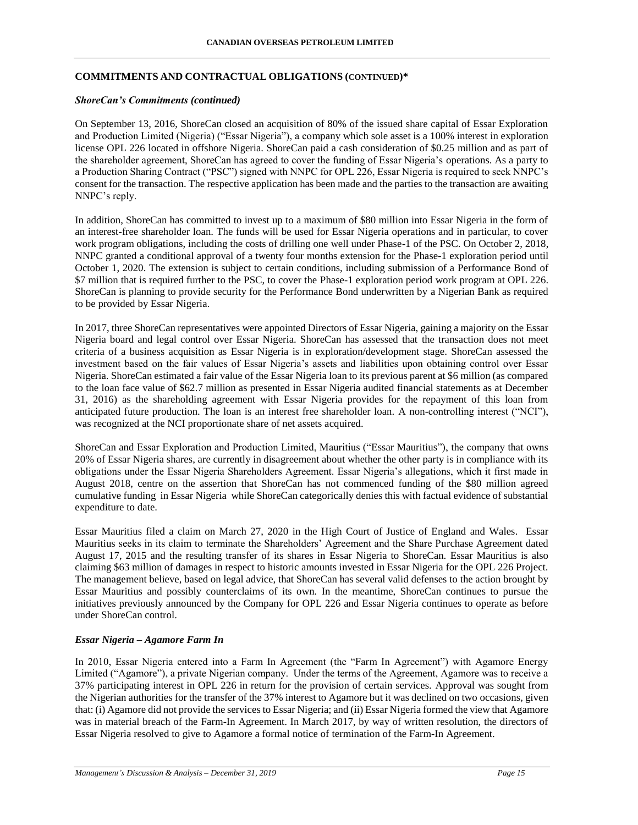## **COMMITMENTS AND CONTRACTUAL OBLIGATIONS (CONTINUED)\***

#### *ShoreCan's Commitments (continued)*

On September 13, 2016, ShoreCan closed an acquisition of 80% of the issued share capital of Essar Exploration and Production Limited (Nigeria) ("Essar Nigeria"), a company which sole asset is a 100% interest in exploration license OPL 226 located in offshore Nigeria. ShoreCan paid a cash consideration of \$0.25 million and as part of the shareholder agreement, ShoreCan has agreed to cover the funding of Essar Nigeria's operations. As a party to a Production Sharing Contract ("PSC") signed with NNPC for OPL 226, Essar Nigeria is required to seek NNPC's consent for the transaction. The respective application has been made and the parties to the transaction are awaiting NNPC's reply.

In addition, ShoreCan has committed to invest up to a maximum of \$80 million into Essar Nigeria in the form of an interest-free shareholder loan. The funds will be used for Essar Nigeria operations and in particular, to cover work program obligations, including the costs of drilling one well under Phase-1 of the PSC. On October 2, 2018, NNPC granted a conditional approval of a twenty four months extension for the Phase-1 exploration period until October 1, 2020. The extension is subject to certain conditions, including submission of a Performance Bond of \$7 million that is required further to the PSC, to cover the Phase-1 exploration period work program at OPL 226. ShoreCan is planning to provide security for the Performance Bond underwritten by a Nigerian Bank as required to be provided by Essar Nigeria.

In 2017, three ShoreCan representatives were appointed Directors of Essar Nigeria, gaining a majority on the Essar Nigeria board and legal control over Essar Nigeria. ShoreCan has assessed that the transaction does not meet criteria of a business acquisition as Essar Nigeria is in exploration/development stage. ShoreCan assessed the investment based on the fair values of Essar Nigeria's assets and liabilities upon obtaining control over Essar Nigeria. ShoreCan estimated a fair value of the Essar Nigeria loan to its previous parent at \$6 million (as compared to the loan face value of \$62.7 million as presented in Essar Nigeria audited financial statements as at December 31, 2016) as the shareholding agreement with Essar Nigeria provides for the repayment of this loan from anticipated future production. The loan is an interest free shareholder loan. A non-controlling interest ("NCI"), was recognized at the NCI proportionate share of net assets acquired.

ShoreCan and Essar Exploration and Production Limited, Mauritius ("Essar Mauritius"), the company that owns 20% of Essar Nigeria shares, are currently in disagreement about whether the other party is in compliance with its obligations under the Essar Nigeria Shareholders Agreement. Essar Nigeria's allegations, which it first made in August 2018, centre on the assertion that ShoreCan has not commenced funding of the \$80 million agreed cumulative funding in Essar Nigeria while ShoreCan categorically denies this with factual evidence of substantial expenditure to date.

Essar Mauritius filed a claim on March 27, 2020 in the High Court of Justice of England and Wales. Essar Mauritius seeks in its claim to terminate the Shareholders' Agreement and the Share Purchase Agreement dated August 17, 2015 and the resulting transfer of its shares in Essar Nigeria to ShoreCan. Essar Mauritius is also claiming \$63 million of damages in respect to historic amounts invested in Essar Nigeria for the OPL 226 Project. The management believe, based on legal advice, that ShoreCan has several valid defenses to the action brought by Essar Mauritius and possibly counterclaims of its own. In the meantime, ShoreCan continues to pursue the initiatives previously announced by the Company for OPL 226 and Essar Nigeria continues to operate as before under ShoreCan control.

#### *Essar Nigeria – Agamore Farm In*

In 2010, Essar Nigeria entered into a Farm In Agreement (the "Farm In Agreement") with Agamore Energy Limited ("Agamore"), a private Nigerian company. Under the terms of the Agreement, Agamore was to receive a 37% participating interest in OPL 226 in return for the provision of certain services. Approval was sought from the Nigerian authorities for the transfer of the 37% interest to Agamore but it was declined on two occasions, given that: (i) Agamore did not provide the services to Essar Nigeria; and (ii) Essar Nigeria formed the view that Agamore was in material breach of the Farm-In Agreement. In March 2017, by way of written resolution, the directors of Essar Nigeria resolved to give to Agamore a formal notice of termination of the Farm-In Agreement.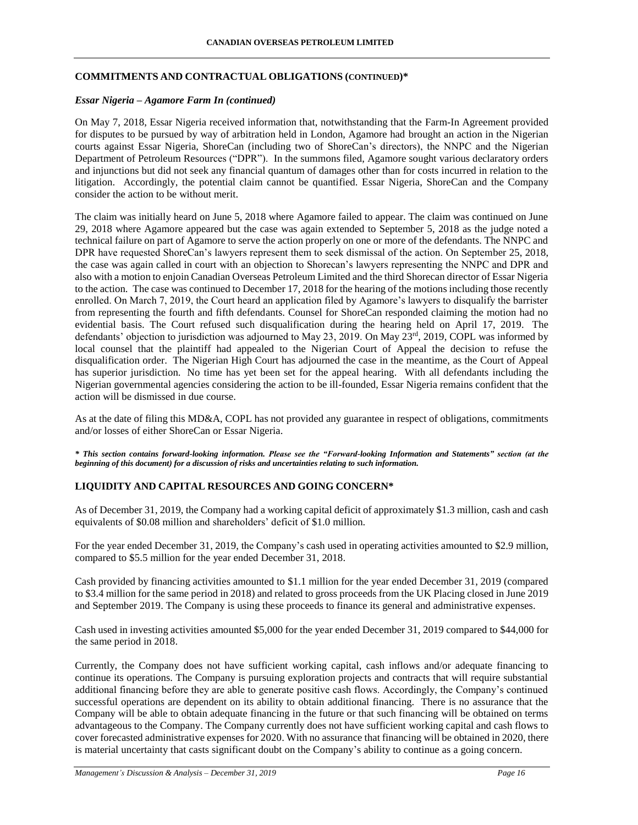### **COMMITMENTS AND CONTRACTUAL OBLIGATIONS (CONTINUED)\***

### *Essar Nigeria – Agamore Farm In (continued)*

On May 7, 2018, Essar Nigeria received information that, notwithstanding that the Farm-In Agreement provided for disputes to be pursued by way of arbitration held in London, Agamore had brought an action in the Nigerian courts against Essar Nigeria, ShoreCan (including two of ShoreCan's directors), the NNPC and the Nigerian Department of Petroleum Resources ("DPR"). In the summons filed, Agamore sought various declaratory orders and injunctions but did not seek any financial quantum of damages other than for costs incurred in relation to the litigation. Accordingly, the potential claim cannot be quantified. Essar Nigeria, ShoreCan and the Company consider the action to be without merit.

The claim was initially heard on June 5, 2018 where Agamore failed to appear. The claim was continued on June 29, 2018 where Agamore appeared but the case was again extended to September 5, 2018 as the judge noted a technical failure on part of Agamore to serve the action properly on one or more of the defendants. The NNPC and DPR have requested ShoreCan's lawyers represent them to seek dismissal of the action. On September 25, 2018, the case was again called in court with an objection to Shorecan's lawyers representing the NNPC and DPR and also with a motion to enjoin Canadian Overseas Petroleum Limited and the third Shorecan director of Essar Nigeria to the action. The case was continued to December 17, 2018 for the hearing of the motions including those recently enrolled. On March 7, 2019, the Court heard an application filed by Agamore's lawyers to disqualify the barrister from representing the fourth and fifth defendants. Counsel for ShoreCan responded claiming the motion had no evidential basis. The Court refused such disqualification during the hearing held on April 17, 2019. The defendants' objection to jurisdiction was adjourned to May 23, 2019. On May 23rd, 2019, COPL was informed by local counsel that the plaintiff had appealed to the Nigerian Court of Appeal the decision to refuse the disqualification order. The Nigerian High Court has adjourned the case in the meantime, as the Court of Appeal has superior jurisdiction. No time has yet been set for the appeal hearing. With all defendants including the Nigerian governmental agencies considering the action to be ill-founded, Essar Nigeria remains confident that the action will be dismissed in due course.

As at the date of filing this MD&A, COPL has not provided any guarantee in respect of obligations, commitments and/or losses of either ShoreCan or Essar Nigeria.

*\* This section contains forward-looking information. Please see the "Forward-looking Information and Statements" section (at the beginning of this document) for a discussion of risks and uncertainties relating to such information.*

## **LIQUIDITY AND CAPITAL RESOURCES AND GOING CONCERN\***

As of December 31, 2019, the Company had a working capital deficit of approximately \$1.3 million, cash and cash equivalents of \$0.08 million and shareholders' deficit of \$1.0 million.

For the year ended December 31, 2019, the Company's cash used in operating activities amounted to \$2.9 million, compared to \$5.5 million for the year ended December 31, 2018.

Cash provided by financing activities amounted to \$1.1 million for the year ended December 31, 2019 (compared to \$3.4 million for the same period in 2018) and related to gross proceeds from the UK Placing closed in June 2019 and September 2019. The Company is using these proceeds to finance its general and administrative expenses.

Cash used in investing activities amounted \$5,000 for the year ended December 31, 2019 compared to \$44,000 for the same period in 2018.

Currently, the Company does not have sufficient working capital, cash inflows and/or adequate financing to continue its operations. The Company is pursuing exploration projects and contracts that will require substantial additional financing before they are able to generate positive cash flows. Accordingly, the Company's continued successful operations are dependent on its ability to obtain additional financing. There is no assurance that the Company will be able to obtain adequate financing in the future or that such financing will be obtained on terms advantageous to the Company. The Company currently does not have sufficient working capital and cash flows to cover forecasted administrative expenses for 2020. With no assurance that financing will be obtained in 2020, there is material uncertainty that casts significant doubt on the Company's ability to continue as a going concern.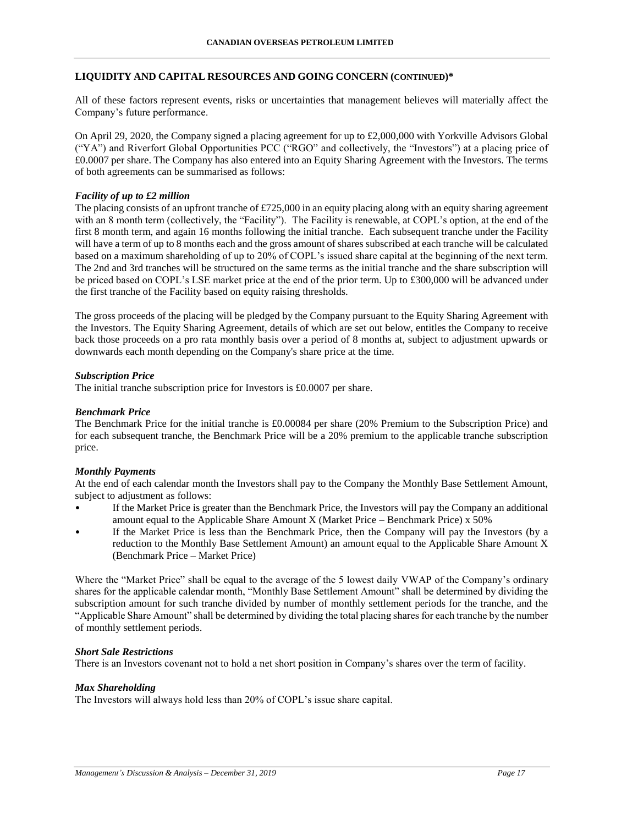### **LIQUIDITY AND CAPITAL RESOURCES AND GOING CONCERN (CONTINUED)\***

All of these factors represent events, risks or uncertainties that management believes will materially affect the Company's future performance.

On April 29, 2020, the Company signed a placing agreement for up to £2,000,000 with Yorkville Advisors Global ("YA") and Riverfort Global Opportunities PCC ("RGO" and collectively, the "Investors") at a placing price of £0.0007 per share. The Company has also entered into an Equity Sharing Agreement with the Investors. The terms of both agreements can be summarised as follows:

### *Facility of up to £2 million*

The placing consists of an upfront tranche of  $\text{\textsterling}725,000$  in an equity placing along with an equity sharing agreement with an 8 month term (collectively, the "Facility"). The Facility is renewable, at COPL's option, at the end of the first 8 month term, and again 16 months following the initial tranche. Each subsequent tranche under the Facility will have a term of up to 8 months each and the gross amount of shares subscribed at each tranche will be calculated based on a maximum shareholding of up to 20% of COPL's issued share capital at the beginning of the next term. The 2nd and 3rd tranches will be structured on the same terms as the initial tranche and the share subscription will be priced based on COPL's LSE market price at the end of the prior term. Up to £300,000 will be advanced under the first tranche of the Facility based on equity raising thresholds.

The gross proceeds of the placing will be pledged by the Company pursuant to the Equity Sharing Agreement with the Investors. The Equity Sharing Agreement, details of which are set out below, entitles the Company to receive back those proceeds on a pro rata monthly basis over a period of 8 months at, subject to adjustment upwards or downwards each month depending on the Company's share price at the time.

### *Subscription Price*

The initial tranche subscription price for Investors is £0.0007 per share.

#### *Benchmark Price*

The Benchmark Price for the initial tranche is £0.00084 per share (20% Premium to the Subscription Price) and for each subsequent tranche, the Benchmark Price will be a 20% premium to the applicable tranche subscription price.

#### *Monthly Payments*

At the end of each calendar month the Investors shall pay to the Company the Monthly Base Settlement Amount, subject to adjustment as follows:

- If the Market Price is greater than the Benchmark Price, the Investors will pay the Company an additional amount equal to the Applicable Share Amount X (Market Price – Benchmark Price)  $x\,50\%$
- If the Market Price is less than the Benchmark Price, then the Company will pay the Investors (by a reduction to the Monthly Base Settlement Amount) an amount equal to the Applicable Share Amount X (Benchmark Price – Market Price)

Where the "Market Price" shall be equal to the average of the 5 lowest daily VWAP of the Company's ordinary shares for the applicable calendar month, "Monthly Base Settlement Amount" shall be determined by dividing the subscription amount for such tranche divided by number of monthly settlement periods for the tranche, and the "Applicable Share Amount" shall be determined by dividing the total placing shares for each tranche by the number of monthly settlement periods.

### *Short Sale Restrictions*

There is an Investors covenant not to hold a net short position in Company's shares over the term of facility.

### *Max Shareholding*

The Investors will always hold less than 20% of COPL's issue share capital.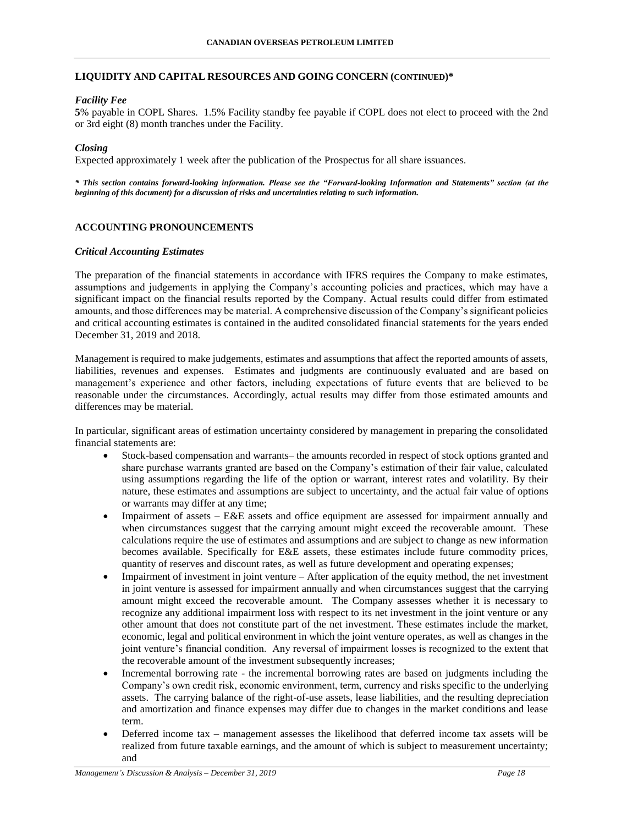### **LIQUIDITY AND CAPITAL RESOURCES AND GOING CONCERN (CONTINUED)\***

## *Facility Fee*

**5**% payable in COPL Shares. 1.5% Facility standby fee payable if COPL does not elect to proceed with the 2nd or 3rd eight (8) month tranches under the Facility.

#### *Closing*

Expected approximately 1 week after the publication of the Prospectus for all share issuances.

*\* This section contains forward-looking information. Please see the "Forward-looking Information and Statements" section (at the beginning of this document) for a discussion of risks and uncertainties relating to such information.*

### **ACCOUNTING PRONOUNCEMENTS**

#### *Critical Accounting Estimates*

The preparation of the financial statements in accordance with IFRS requires the Company to make estimates, assumptions and judgements in applying the Company's accounting policies and practices, which may have a significant impact on the financial results reported by the Company. Actual results could differ from estimated amounts, and those differences may be material. A comprehensive discussion of the Company's significant policies and critical accounting estimates is contained in the audited consolidated financial statements for the years ended December 31, 2019 and 2018.

Management is required to make judgements, estimates and assumptions that affect the reported amounts of assets, liabilities, revenues and expenses. Estimates and judgments are continuously evaluated and are based on management's experience and other factors, including expectations of future events that are believed to be reasonable under the circumstances. Accordingly, actual results may differ from those estimated amounts and differences may be material.

In particular, significant areas of estimation uncertainty considered by management in preparing the consolidated financial statements are:

- Stock-based compensation and warrants– the amounts recorded in respect of stock options granted and share purchase warrants granted are based on the Company's estimation of their fair value, calculated using assumptions regarding the life of the option or warrant, interest rates and volatility. By their nature, these estimates and assumptions are subject to uncertainty, and the actual fair value of options or warrants may differ at any time;
- Impairment of assets E&E assets and office equipment are assessed for impairment annually and when circumstances suggest that the carrying amount might exceed the recoverable amount. These calculations require the use of estimates and assumptions and are subject to change as new information becomes available. Specifically for E&E assets, these estimates include future commodity prices, quantity of reserves and discount rates, as well as future development and operating expenses;
- Impairment of investment in joint venture After application of the equity method, the net investment in joint venture is assessed for impairment annually and when circumstances suggest that the carrying amount might exceed the recoverable amount. The Company assesses whether it is necessary to recognize any additional impairment loss with respect to its net investment in the joint venture or any other amount that does not constitute part of the net investment. These estimates include the market, economic, legal and political environment in which the joint venture operates, as well as changes in the joint venture's financial condition. Any reversal of impairment losses is recognized to the extent that the recoverable amount of the investment subsequently increases;
- Incremental borrowing rate the incremental borrowing rates are based on judgments including the Company's own credit risk, economic environment, term, currency and risks specific to the underlying assets. The carrying balance of the right-of-use assets, lease liabilities, and the resulting depreciation and amortization and finance expenses may differ due to changes in the market conditions and lease term.
- Deferred income tax management assesses the likelihood that deferred income tax assets will be realized from future taxable earnings, and the amount of which is subject to measurement uncertainty; and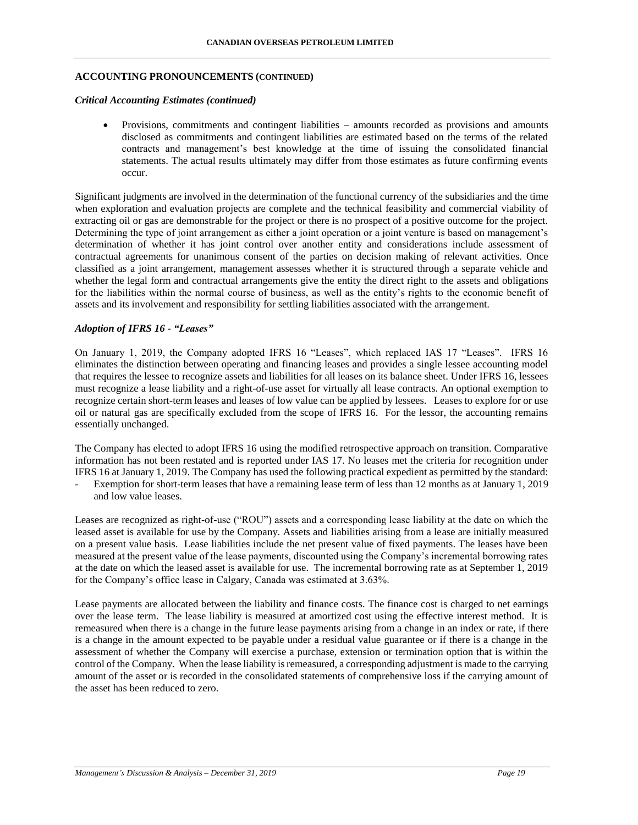#### **ACCOUNTING PRONOUNCEMENTS (CONTINUED)**

#### *Critical Accounting Estimates (continued)*

 Provisions, commitments and contingent liabilities – amounts recorded as provisions and amounts disclosed as commitments and contingent liabilities are estimated based on the terms of the related contracts and management's best knowledge at the time of issuing the consolidated financial statements. The actual results ultimately may differ from those estimates as future confirming events occur.

Significant judgments are involved in the determination of the functional currency of the subsidiaries and the time when exploration and evaluation projects are complete and the technical feasibility and commercial viability of extracting oil or gas are demonstrable for the project or there is no prospect of a positive outcome for the project. Determining the type of joint arrangement as either a joint operation or a joint venture is based on management's determination of whether it has joint control over another entity and considerations include assessment of contractual agreements for unanimous consent of the parties on decision making of relevant activities. Once classified as a joint arrangement, management assesses whether it is structured through a separate vehicle and whether the legal form and contractual arrangements give the entity the direct right to the assets and obligations for the liabilities within the normal course of business, as well as the entity's rights to the economic benefit of assets and its involvement and responsibility for settling liabilities associated with the arrangement.

#### *Adoption of IFRS 16 - "Leases"*

On January 1, 2019, the Company adopted IFRS 16 "Leases", which replaced IAS 17 "Leases". IFRS 16 eliminates the distinction between operating and financing leases and provides a single lessee accounting model that requires the lessee to recognize assets and liabilities for all leases on its balance sheet. Under IFRS 16, lessees must recognize a lease liability and a right-of-use asset for virtually all lease contracts. An optional exemption to recognize certain short-term leases and leases of low value can be applied by lessees. Leases to explore for or use oil or natural gas are specifically excluded from the scope of IFRS 16. For the lessor, the accounting remains essentially unchanged.

The Company has elected to adopt IFRS 16 using the modified retrospective approach on transition. Comparative information has not been restated and is reported under IAS 17. No leases met the criteria for recognition under IFRS 16 at January 1, 2019. The Company has used the following practical expedient as permitted by the standard:

Exemption for short-term leases that have a remaining lease term of less than 12 months as at January 1, 2019 and low value leases.

Leases are recognized as right-of-use ("ROU") assets and a corresponding lease liability at the date on which the leased asset is available for use by the Company. Assets and liabilities arising from a lease are initially measured on a present value basis. Lease liabilities include the net present value of fixed payments. The leases have been measured at the present value of the lease payments, discounted using the Company's incremental borrowing rates at the date on which the leased asset is available for use. The incremental borrowing rate as at September 1, 2019 for the Company's office lease in Calgary, Canada was estimated at 3.63%.

Lease payments are allocated between the liability and finance costs. The finance cost is charged to net earnings over the lease term. The lease liability is measured at amortized cost using the effective interest method. It is remeasured when there is a change in the future lease payments arising from a change in an index or rate, if there is a change in the amount expected to be payable under a residual value guarantee or if there is a change in the assessment of whether the Company will exercise a purchase, extension or termination option that is within the control of the Company. When the lease liability is remeasured, a corresponding adjustment is made to the carrying amount of the asset or is recorded in the consolidated statements of comprehensive loss if the carrying amount of the asset has been reduced to zero.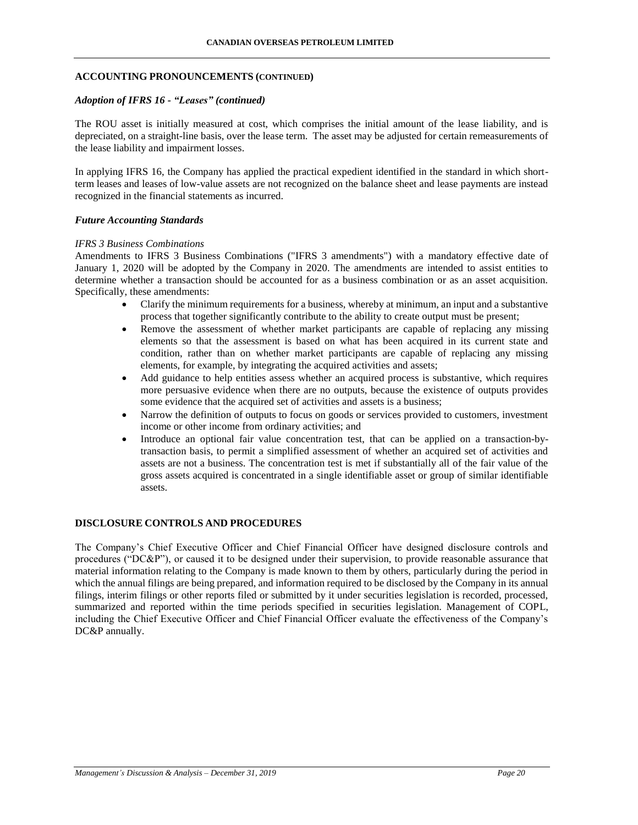### **ACCOUNTING PRONOUNCEMENTS (CONTINUED)**

### *Adoption of IFRS 16 - "Leases" (continued)*

The ROU asset is initially measured at cost, which comprises the initial amount of the lease liability, and is depreciated, on a straight-line basis, over the lease term. The asset may be adjusted for certain remeasurements of the lease liability and impairment losses.

In applying IFRS 16, the Company has applied the practical expedient identified in the standard in which shortterm leases and leases of low-value assets are not recognized on the balance sheet and lease payments are instead recognized in the financial statements as incurred.

#### *Future Accounting Standards*

#### *IFRS 3 Business Combinations*

Amendments to IFRS 3 Business Combinations ("IFRS 3 amendments") with a mandatory effective date of January 1, 2020 will be adopted by the Company in 2020. The amendments are intended to assist entities to determine whether a transaction should be accounted for as a business combination or as an asset acquisition. Specifically, these amendments:

- Clarify the minimum requirements for a business, whereby at minimum, an input and a substantive process that together significantly contribute to the ability to create output must be present;
- Remove the assessment of whether market participants are capable of replacing any missing elements so that the assessment is based on what has been acquired in its current state and condition, rather than on whether market participants are capable of replacing any missing elements, for example, by integrating the acquired activities and assets;
- Add guidance to help entities assess whether an acquired process is substantive, which requires more persuasive evidence when there are no outputs, because the existence of outputs provides some evidence that the acquired set of activities and assets is a business;
- Narrow the definition of outputs to focus on goods or services provided to customers, investment income or other income from ordinary activities; and
- Introduce an optional fair value concentration test, that can be applied on a transaction-bytransaction basis, to permit a simplified assessment of whether an acquired set of activities and assets are not a business. The concentration test is met if substantially all of the fair value of the gross assets acquired is concentrated in a single identifiable asset or group of similar identifiable assets.

## **DISCLOSURE CONTROLS AND PROCEDURES**

The Company's Chief Executive Officer and Chief Financial Officer have designed disclosure controls and procedures ("DC&P"), or caused it to be designed under their supervision, to provide reasonable assurance that material information relating to the Company is made known to them by others, particularly during the period in which the annual filings are being prepared, and information required to be disclosed by the Company in its annual filings, interim filings or other reports filed or submitted by it under securities legislation is recorded, processed, summarized and reported within the time periods specified in securities legislation. Management of COPL, including the Chief Executive Officer and Chief Financial Officer evaluate the effectiveness of the Company's DC&P annually.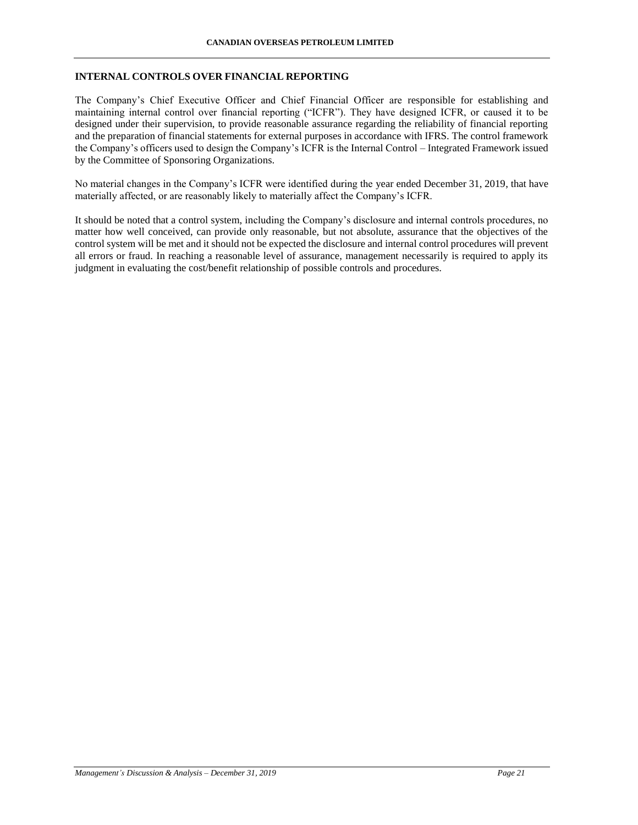### **INTERNAL CONTROLS OVER FINANCIAL REPORTING**

The Company's Chief Executive Officer and Chief Financial Officer are responsible for establishing and maintaining internal control over financial reporting ("ICFR"). They have designed ICFR, or caused it to be designed under their supervision, to provide reasonable assurance regarding the reliability of financial reporting and the preparation of financial statements for external purposes in accordance with IFRS. The control framework the Company's officers used to design the Company's ICFR is the Internal Control – Integrated Framework issued by the Committee of Sponsoring Organizations.

No material changes in the Company's ICFR were identified during the year ended December 31, 2019, that have materially affected, or are reasonably likely to materially affect the Company's ICFR.

It should be noted that a control system, including the Company's disclosure and internal controls procedures, no matter how well conceived, can provide only reasonable, but not absolute, assurance that the objectives of the control system will be met and it should not be expected the disclosure and internal control procedures will prevent all errors or fraud. In reaching a reasonable level of assurance, management necessarily is required to apply its judgment in evaluating the cost/benefit relationship of possible controls and procedures.